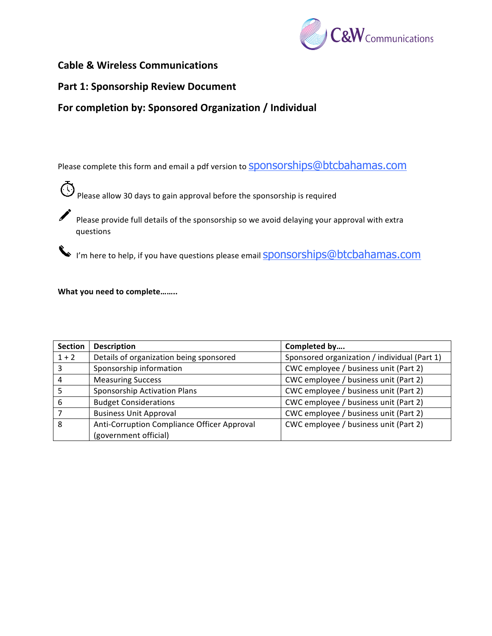

# **Cable & Wireless Communications**

# **Part 1: Sponsorship Review Document**

# For completion by: Sponsored Organization / Individual

Please complete this form and email a pdf version to **Sponsorships@btcbahamas.com** 

 $\bigodot$  Please allow 30 days to gain approval before the sponsorship is required

Please provide full details of the sponsorship so we avoid delaying your approval with extra questions

I'm here to help, if you have questions please email **Sponsorships@btcbahamas.com** 

## What you need to complete........

| <b>Section</b> | <b>Description</b>                          | Completed by                                 |
|----------------|---------------------------------------------|----------------------------------------------|
| $1 + 2$        | Details of organization being sponsored     | Sponsored organization / individual (Part 1) |
| 3              | Sponsorship information                     | CWC employee / business unit (Part 2)        |
|                | <b>Measuring Success</b>                    | CWC employee / business unit (Part 2)        |
|                | Sponsorship Activation Plans                | CWC employee / business unit (Part 2)        |
| 6              | <b>Budget Considerations</b>                | CWC employee / business unit (Part 2)        |
|                | <b>Business Unit Approval</b>               | CWC employee / business unit (Part 2)        |
| 8              | Anti-Corruption Compliance Officer Approval | CWC employee / business unit (Part 2)        |
|                | (government official)                       |                                              |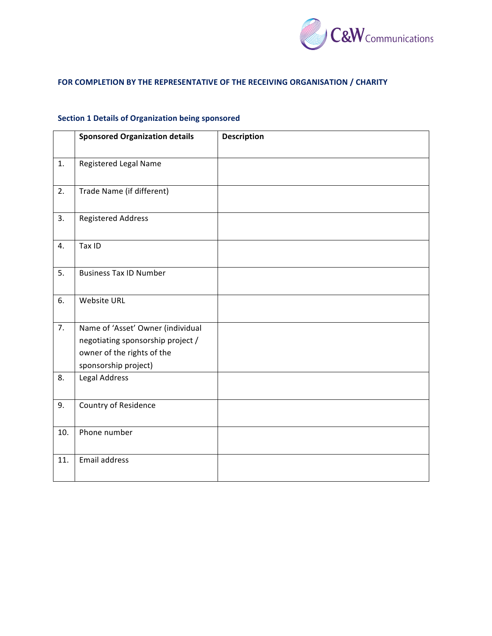

### **FOR COMPLETION BY THE REPRESENTATIVE OF THE RECEIVING ORGANISATION / CHARITY**

# **Section 1 Details of Organization being sponsored**

|     | <b>Sponsored Organization details</b> | <b>Description</b> |
|-----|---------------------------------------|--------------------|
| 1.  | Registered Legal Name                 |                    |
| 2.  | Trade Name (if different)             |                    |
| 3.  | <b>Registered Address</b>             |                    |
| 4.  | Tax ID                                |                    |
| 5.  | <b>Business Tax ID Number</b>         |                    |
| 6.  | <b>Website URL</b>                    |                    |
| 7.  | Name of 'Asset' Owner (individual     |                    |
|     | negotiating sponsorship project /     |                    |
|     | owner of the rights of the            |                    |
|     | sponsorship project)                  |                    |
| 8.  | <b>Legal Address</b>                  |                    |
| 9.  | Country of Residence                  |                    |
| 10. | Phone number                          |                    |
| 11. | Email address                         |                    |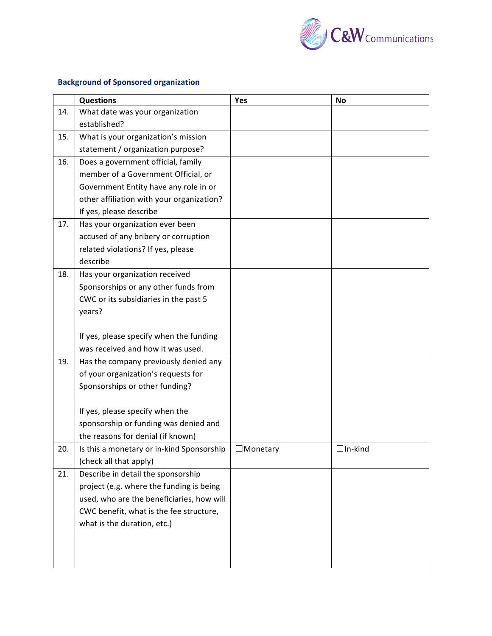

# **Background of Sponsored organization**

|     | <b>Questions</b>                          | Yes       | <b>No</b>      |
|-----|-------------------------------------------|-----------|----------------|
| 14. | What date was your organization           |           |                |
|     | established?                              |           |                |
| 15. | What is your organization's mission       |           |                |
|     | statement / organization purpose?         |           |                |
| 16. | Does a government official, family        |           |                |
|     | member of a Government Official, or       |           |                |
|     | Government Entity have any role in or     |           |                |
|     | other affiliation with your organization? |           |                |
|     | If yes, please describe                   |           |                |
| 17. | Has your organization ever been           |           |                |
|     | accused of any bribery or corruption      |           |                |
|     | related violations? If yes, please        |           |                |
|     | describe                                  |           |                |
| 18. | Has your organization received            |           |                |
|     | Sponsorships or any other funds from      |           |                |
|     | CWC or its subsidiaries in the past 5     |           |                |
|     | years?                                    |           |                |
|     |                                           |           |                |
|     | If yes, please specify when the funding   |           |                |
|     | was received and how it was used.         |           |                |
| 19. | Has the company previously denied any     |           |                |
|     | of your organization's requests for       |           |                |
|     | Sponsorships or other funding?            |           |                |
|     |                                           |           |                |
|     | If yes, please specify when the           |           |                |
|     | sponsorship or funding was denied and     |           |                |
|     | the reasons for denial (if known)         |           |                |
| 20. | Is this a monetary or in-kind Sponsorship | ⊿Monetary | $\Box$ In-kind |
|     | (check all that apply)                    |           |                |
| 21. | Describe in detail the sponsorship        |           |                |
|     | project (e.g. where the funding is being  |           |                |
|     | used, who are the beneficiaries, how will |           |                |
|     | CWC benefit, what is the fee structure,   |           |                |
|     | what is the duration, etc.)               |           |                |
|     |                                           |           |                |
|     |                                           |           |                |
|     |                                           |           |                |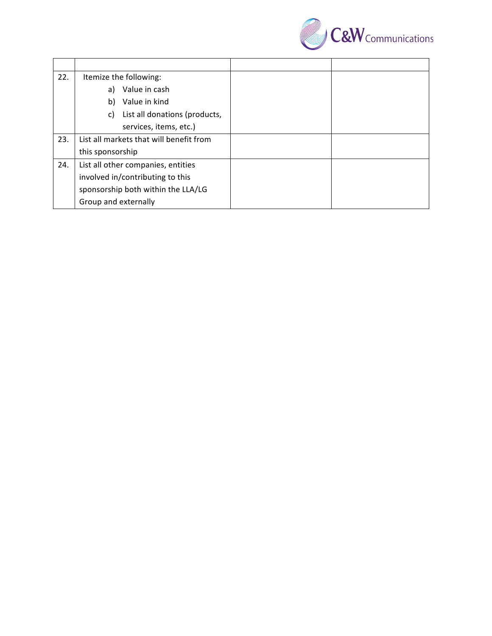

| 22. | Itemize the following:                  |  |
|-----|-----------------------------------------|--|
|     | a) Value in cash                        |  |
|     | Value in kind<br>b)                     |  |
|     | List all donations (products,<br>C)     |  |
|     | services, items, etc.)                  |  |
| 23. | List all markets that will benefit from |  |
|     | this sponsorship                        |  |
| 24. | List all other companies, entities      |  |
|     | involved in/contributing to this        |  |
|     | sponsorship both within the LLA/LG      |  |
|     | Group and externally                    |  |